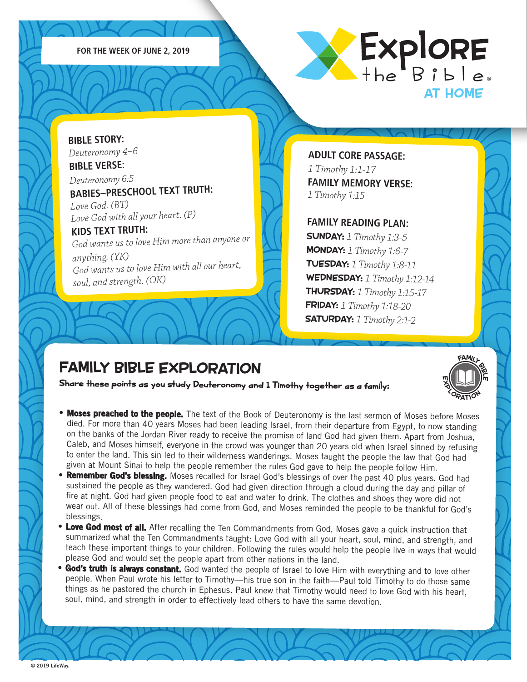



**BIBLE STORY:** *Deuteronomy 4–6* **BIBLE VERSE:**

*Deuteronomy 6:5* **BABIES–PRESCHOOL TEXT TRUTH:** 

*Love God. (BT) Love God with all your heart. (P)*

### **KIDS TEXT TRUTH:**

*God wants us to love Him more than anyone or anything. (YK) God wants us to love Him with all our heart, soul, and strength. (OK)*

**ADULT CORE PASSAGE:** *1 Timothy 1:1-17*  **FAMILY MEMORY VERSE:** *1 Timothy 1:15*

#### **FAMILY READING PLAN:**

SUNDAY: *1 Timothy 1:3-5* MONDAY: *1 Timothy 1:6-7* TUESDAY: *1 Timothy 1:8-11* WEDNESDAY: *1 Timothy 1:12-14* THURSDAY: *1 Timothy 1:15-17* FRIDAY: *1 Timothy 1:18-20* SATURDAY: *1 Timothy 2:1-2*

FAMILL<br>I II P

iη

m

### FAMILY BIBLE EXPLORATION

Share these points as you study Deuteronomy and 1 Timothy together as a family:

- Moses preached to the people. The text of the Book of Deuteronomy is the last sermon of Moses before Moses died. For more than 40 years Moses had been leading Israel, from their departure from Egypt, to now standing on the banks of the Jordan River ready to receive the promise of land God had given them. Apart from Joshua, Caleb, and Moses himself, everyone in the crowd was younger than 20 years old when Israel sinned by refusing to enter the land. This sin led to their wilderness wanderings. Moses taught the people the law that God had given at Mount Sinai to help the people remember the rules God gave to help the people follow Him. X<sub>ORATION</sub>
- **Remember God's blessing.** Moses recalled for Israel God's blessings of over the past 40 plus years. God had sustained the people as they wandered. God had given direction through a cloud during the day and pillar of fire at night. God had given people food to eat and water to drink. The clothes and shoes they wore did not wear out. All of these blessings had come from God, and Moses reminded the people to be thankful for God's blessings.
- Love God most of all. After recalling the Ten Commandments from God, Moses gave a quick instruction that summarized what the Ten Commandments taught: Love God with all your heart, soul, mind, and strength, and teach these important things to your children. Following the rules would help the people live in ways that would please God and would set the people apart from other nations in the land.
- **God's truth is always constant.** God wanted the people of Israel to love Him with everything and to love other people. When Paul wrote his letter to Timothy—his true son in the faith—Paul told Timothy to do those same things as he pastored the church in Ephesus. Paul knew that Timothy would need to love God with his heart, soul, mind, and strength in order to effectively lead others to have the same devotion.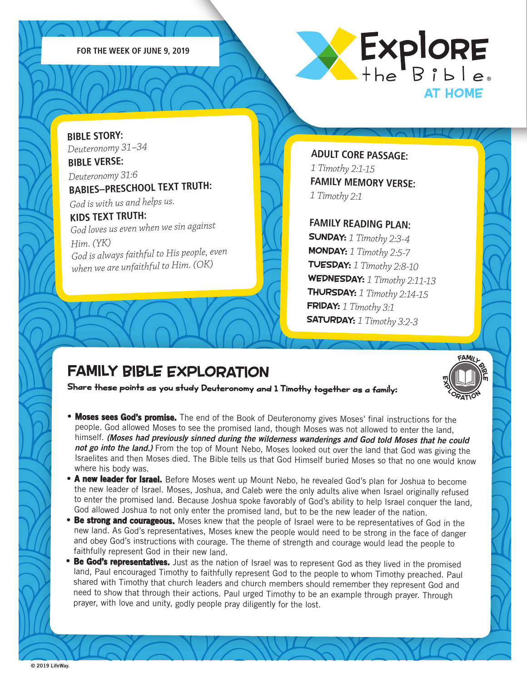



**BIBLE STORY:** *Deuteronomy 31–34* **BIBLE VERSE:**

*Deuteronomy 31:6* **BABIES–PRESCHOOL TEXT TRUTH:** 

*God is with us and helps us.*

#### **KIDS TEXT TRUTH:**

*God loves us even when we sin against Him. (YK) God is always faithful to His people, even when we are unfaithful to Him. (OK)*

**ADULT CORE PASSAGE:** *1 Timothy 2:1-15*  **FAMILY MEMORY VERSE:** *1 Timothy 2:1*

#### **FAMILY READING PLAN:**

SUNDAY: *1 Timothy 2:3-4* MONDAY: *1 Timothy 2:5-7* TUESDAY: *1 Timothy 2:8-10* WEDNESDAY: *1 Timothy 2:11-13* THURSDAY: *1 Timothy 2:14-15* FRIDAY: *1 Timothy 3:1* SATURDAY: *1 Timothy 3:2-3*

FAMILL<br>I II P

X<sub>ORATION</sub>

iη

m

### FAMILY BIBLE EXPLORATION

Share these points as you study Deuteronomy and 1 Timothy together as a family:

- Moses sees God's promise. The end of the Book of Deuteronomy gives Moses' final instructions for the people. God allowed Moses to see the promised land, though Moses was not allowed to enter the land, himself. *(Moses had previously sinned during the wilderness wanderings and God told Moses that he could not go into the land.)* From the top of Mount Nebo, Moses looked out over the land that God was giving the Israelites and then Moses died. The Bible tells us that God Himself buried Moses so that no one would know where his body was.
- A new leader for Israel. Before Moses went up Mount Nebo, he revealed God's plan for Joshua to become the new leader of Israel. Moses, Joshua, and Caleb were the only adults alive when Israel originally refused to enter the promised land. Because Joshua spoke favorably of God's ability to help Israel conquer the land, God allowed Joshua to not only enter the promised land, but to be the new leader of the nation.
- **Be strong and courageous.** Moses knew that the people of Israel were to be representatives of God in the new land. As God's representatives, Moses knew the people would need to be strong in the face of danger and obey God's instructions with courage. The theme of strength and courage would lead the people to faithfully represent God in their new land.
- Be God's representatives. Just as the nation of Israel was to represent God as they lived in the promised land, Paul encouraged Timothy to faithfully represent God to the people to whom Timothy preached. Paul shared with Timothy that church leaders and church members should remember they represent God and need to show that through their actions. Paul urged Timothy to be an example through prayer. Through prayer, with love and unity, godly people pray diligently for the lost.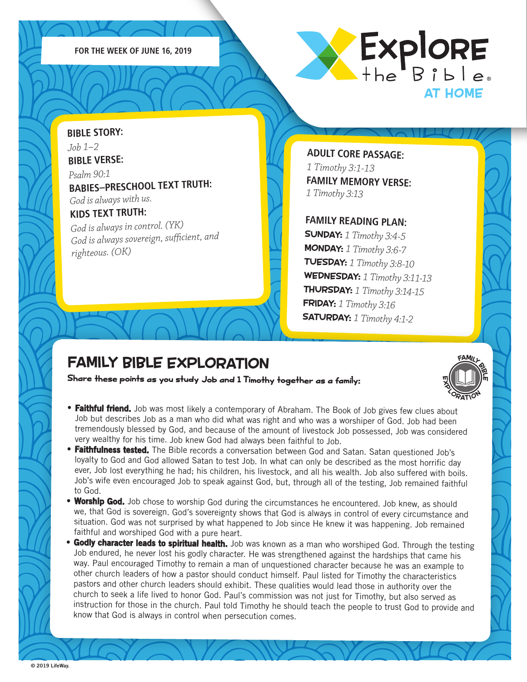



**BIBLE STORY:** *Job 1–2* **BIBLE VERSE:** *Psalm 90:1* **BABIES–PRESCHOOL TEXT TRUTH:**  *God is always with us.* **KIDS TEXT TRUTH:** 

*God is always in control. (YK) God is always sovereign, sufficient, an<sup>d</sup> righteous. (OK)*

**ADULT CORE PASSAGE:** *1 Timothy 3:1-13*  **FAMILY MEMORY VERSE:** *1 Timothy 3:13*

#### **FAMILY READING PLAN:**

SUNDAY: *1 Timothy 3:4-5* MONDAY: *1 Timothy 3:6-7* TUESDAY: *1 Timothy 3:8-10* WEDNESDAY: *1 Timothy 3:11-13* THURSDAY: *1 Timothy 3:14-15* FRIDAY: *1 Timothy 3:16* SATURDAY: *1 Timothy 4:1-2*

### FAMILY BIBLE EXPLORATION

Share these points as you study Job and 1 Timothy together as a family:



- Faithful friend. Job was most likely a contemporary of Abraham. The Book of Job gives few clues about Job but describes Job as a man who did what was right and who was a worshiper of God. Job had been tremendously blessed by God, and because of the amount of livestock Job possessed, Job was considered very wealthy for his time. Job knew God had always been faithful to Job.
- •Faithfulness tested. The Bible records a conversation between God and Satan. Satan questioned Job's loyalty to God and God allowed Satan to test Job. In what can only be described as the most horrific day ever, Job lost everything he had; his children, his livestock, and all his wealth. Job also suffered with boils. Job's wife even encouraged Job to speak against God, but, through all of the testing, Job remained faithful to God.
- •Worship God. Job chose to worship God during the circumstances he encountered. Job knew, as should we, that God is sovereign. God's sovereignty shows that God is always in control of every circumstance and situation. God was not surprised by what happened to Job since He knew it was happening. Job remained faithful and worshiped God with a pure heart.
- **Godly character leads to spiritual health.** Job was known as a man who worshiped God. Through the testing Job endured, he never lost his godly character. He was strengthened against the hardships that came his way. Paul encouraged Timothy to remain a man of unquestioned character because he was an example to other church leaders of how a pastor should conduct himself. Paul listed for Timothy the characteristics pastors and other church leaders should exhibit. These qualities would lead those in authority over the church to seek a life lived to honor God. Paul's commission was not just for Timothy, but also served as instruction for those in the church. Paul told Timothy he should teach the people to trust God to provide and know that God is always in control when persecution comes.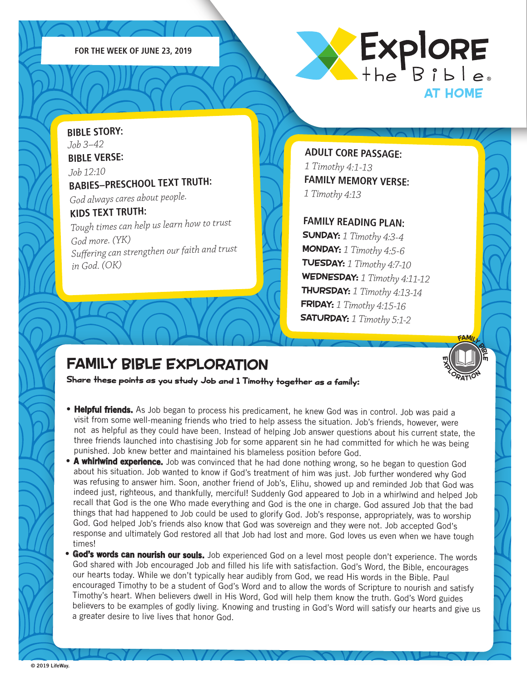



**BIBLE STORY:** *Job 3–42* **BIBLE VERSE:** *Job 12:10* **BABIES–PRESCHOOL TEXT TRUTH:**  *God always cares about people.*  **KIDS TEXT TRUTH:**  *Tough times can help us learn how to trust God more. (YK) Suffering can strengthen our faith and trust* 

*in God. (OK)*

**ADULT CORE PASSAGE:** *1 Timothy 4:1-13*  **FAMILY MEMORY VERSE:** *1 Timothy 4:13*

#### **FAMILY READING PLAN:**

SUNDAY: *1 Timothy 4:3-4* MONDAY: *1 Timothy 4:5-6* TUESDAY: *1 Timothy 4:7-10* WEDNESDAY: *1 Timothy 4:11-12* THURSDAY: *1 Timothy 4:13-14* FRIDAY: *1 Timothy 4:15-16* SATURDAY: *1 Timothy 5:1-2*

FAMILL<br>In III 19

X<sub>ORATION</sub>

m

m

# FAMILY BIBLE EXPLORATION

Share these points as you study Job and 1 Timothy together as a family:

- Helpful friends. As Job began to process his predicament, he knew God was in control. Job was paid a visit from some well-meaning friends who tried to help assess the situation. Job's friends, however, were not as helpful as they could have been. Instead of helping Job answer questions about his current state, the three friends launched into chastising Job for some apparent sin he had committed for which he was being punished. Job knew better and maintained his blameless position before God.
- **A whirlwind experience.** Job was convinced that he had done nothing wrong, so he began to question God about his situation. Job wanted to know if God's treatment of him was just. Job further wondered why God was refusing to answer him. Soon, another friend of Job's, Elihu, showed up and reminded Job that God was indeed just, righteous, and thankfully, merciful! Suddenly God appeared to Job in a whirlwind and helped Job recall that God is the one Who made everything and God is the one in charge. God assured Job that the bad things that had happened to Job could be used to glorify God. Job's response, appropriately, was to worship God. God helped Job's friends also know that God was sovereign and they were not. Job accepted God's response and ultimately God restored all that Job had lost and more. God loves us even when we have tough times!
- **God's words can nourish our souls.** Job experienced God on a level most people don't experience. The words God shared with Job encouraged Job and filled his life with satisfaction. God's Word, the Bible, encourages our hearts today. While we don't typically hear audibly from God, we read His words in the Bible. Paul encouraged Timothy to be a student of God's Word and to allow the words of Scripture to nourish and satisfy Timothy's heart. When believers dwell in His Word, God will help them know the truth. God's Word guides believers to be examples of godly living. Knowing and trusting in God's Word will satisfy our hearts and give us a greater desire to live lives that honor God.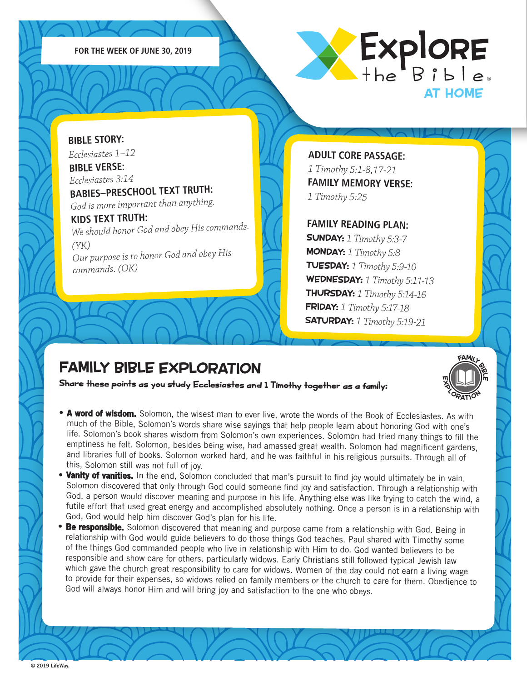



**BIBLE STORY:** *Ecclesiastes 1–12* **BIBLE VERSE:** *Ecclesiastes 3:14*

*commands. (OK)*

**BABIES–PRESCHOOL TEXT TRUTH:**  *God is more important than anything.*

**KIDS TEXT TRUTH:**  *We should honor God and obey His commands. (YK) Our purpose is to honor God and obey His* 

**ADULT CORE PASSAGE:** *1 Timothy 5:1-8,17-21*  **FAMILY MEMORY VERSE:** *1 Timothy 5:25*

#### **FAMILY READING PLAN:**

SUNDAY: *1 Timothy 5:3-7* MONDAY: *1 Timothy 5:8* TUESDAY: *1 Timothy 5:9-10* WEDNESDAY: *1 Timothy 5:11-13* THURSDAY: *1 Timothy 5:14-16* FRIDAY: *1 Timothy 5:17-18* SATURDAY: *1 Timothy 5:19-21*

### FAMILY BIBLE EXPLORATION

Share these points as you study Ecclesiastes and 1 Timothy together as a family:

FAMILL<br>I II P m X<sub>ORATION</sub>

iη

- A word of wisdom. Solomon, the wisest man to ever live, wrote the words of the Book of Ecclesiastes. As with much of the Bible, Solomon's words share wise sayings that help people learn about honoring God with one's life. Solomon's book shares wisdom from Solomon's own experiences. Solomon had tried many things to fill the emptiness he felt. Solomon, besides being wise, had amassed great wealth. Solomon had magnificent gardens, and libraries full of books. Solomon worked hard, and he was faithful in his religious pursuits. Through all of this, Solomon still was not full of joy.
- Vanity of vanities. In the end, Solomon concluded that man's pursuit to find joy would ultimately be in vain. Solomon discovered that only through God could someone find joy and satisfaction. Through a relationship with God, a person would discover meaning and purpose in his life. Anything else was like trying to catch the wind, a futile effort that used great energy and accomplished absolutely nothing. Once a person is in a relationship with God, God would help him discover God's plan for his life.
- •Be responsible. Solomon discovered that meaning and purpose came from a relationship with God. Being in relationship with God would guide believers to do those things God teaches. Paul shared with Timothy some of the things God commanded people who live in relationship with Him to do. God wanted believers to be responsible and show care for others, particularly widows. Early Christians still followed typical Jewish law which gave the church great responsibility to care for widows. Women of the day could not earn a living wage to provide for their expenses, so widows relied on family members or the church to care for them. Obedience to God will always honor Him and will bring joy and satisfaction to the one who obeys.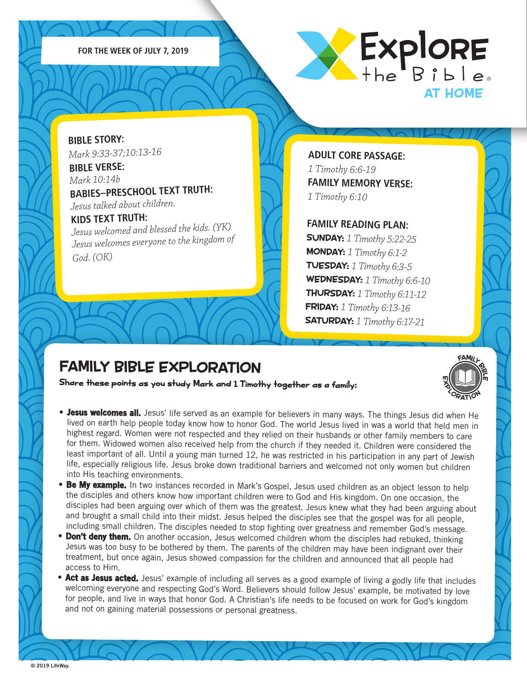**FOR THE WEEK OF JULY 7, 2019**



**BIBLE STORY:** *Mark 9:33-37;10:13-16*

**BIBLE VERSE:** *Mark 10:14b* **BABIES–PRESCHOOL TEXT TRUTH:**  *Jesus talked about children.*

#### **KIDS TEXT TRUTH:**

*Jesus welcomed and blessed the kids. (YK) Jesus welcomes everyone to the kingdom of God. (OK)*

**ADULT CORE PASSAGE:** *1 Timothy 6:6-19*  **FAMILY MEMORY VERSE:** *1 Timothy 6:10*

#### **FAMILY READING PLAN:**

SUNDAY: *1 Timothy 5:22-25* MONDAY: *1 Timothy 6:1-2* TUESDAY: *1 Timothy 6:3-5* WEDNESDAY: *1 Timothy 6:6-10* THURSDAY: *1 Timothy 6:11-12* FRIDAY: *1 Timothy 6:13-16* SATURDAY: *1 Timothy 6:17-21*

FAMILL<br>I II P

X<sub>ORATION</sub>

iη

m

### FAMILY BIBLE EXPLORATION

Share these points as you study Mark and 1 Timothy together as a family:

- **Jesus welcomes all.** Jesus' life served as an example for believers in many ways. The things Jesus did when He lived on earth help people today know how to honor God. The world Jesus lived in was a world that held men in highest regard. Women were not respected and they relied on their husbands or other family members to care for them. Widowed women also received help from the church if they needed it. Children were considered the least important of all. Until a young man turned 12, he was restricted in his participation in any part of Jewish life, especially religious life. Jesus broke down traditional barriers and welcomed not only women but children into His teaching environments.
- •Be My example. In two instances recorded in Mark's Gospel, Jesus used children as an object lesson to help the disciples and others know how important children were to God and His kingdom. On one occasion, the disciples had been arguing over which of them was the greatest. Jesus knew what they had been arguing about and brought a small child into their midst. Jesus helped the disciples see that the gospel was for all people, including small children. The disciples needed to stop fighting over greatness and remember God's message.
- •**Don't deny them.** On another occasion, Jesus welcomed children whom the disciples had rebuked, thinking Jesus was too busy to be bothered by them. The parents of the children may have been indignant over their treatment, but once again, Jesus showed compassion for the children and announced that all people had access to Him.
- Act as Jesus acted. Jesus' example of including all serves as a good example of living a godly life that includes welcoming everyone and respecting God's Word. Believers should follow Jesus' example, be motivated by love for people, and live in ways that honor God. A Christian's life needs to be focused on work for God's kingdom and not on gaining material possessions or personal greatness.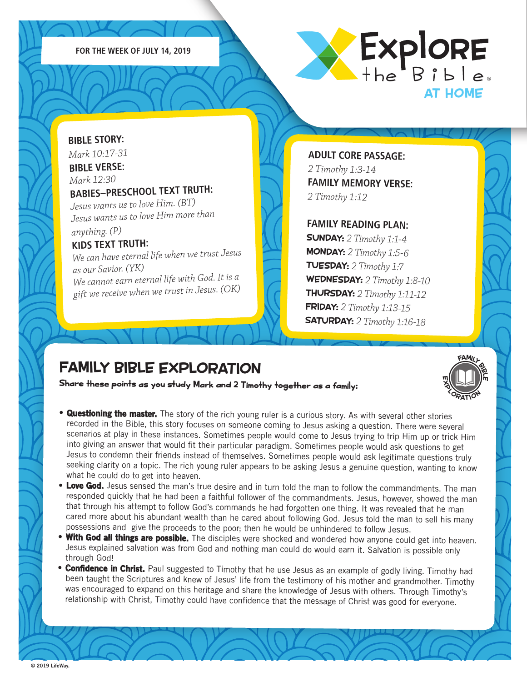



### **BIBLE STORY:** *Mark 10:17-31* **BIBLE VERSE:** *Mark 12:30* **BABIES–PRESCHOOL TEXT TRUTH:**  *Jesus wants us to love Him. (BT) Jesus wants us to love Him more than*

#### *anything. (P)* **KIDS TEXT TRUTH:**

*We can have eternal life when we trust Jesus as our Savior. (YK) We cannot earn eternal life with God. It is a gift we receive when we trust in Jesus. (OK)*

**ADULT CORE PASSAGE:** *2 Timothy 1:3-14*  **FAMILY MEMORY VERSE:** *2 Timothy 1:12*

#### **FAMILY READING PLAN:**

SUNDAY: *2 Timothy 1:1-4* MONDAY: *2 Timothy 1:5-6* TUESDAY: *2 Timothy 1:7* WEDNESDAY: *2 Timothy 1:8-10* THURSDAY: *2 Timothy 1:11-12* FRIDAY: *2 Timothy 1:13-15* SATURDAY: *2 Timothy 1:16-18*

FAMILL<br>I II P

X<sub>ORATION</sub>

iη

m

# FAMILY BIBLE EXPLORATION

Share these points as you study Mark and 2 Timothy together as a family:

- **Questioning the master.** The story of the rich young ruler is a curious story. As with several other stories recorded in the Bible, this story focuses on someone coming to Jesus asking a question. There were several scenarios at play in these instances. Sometimes people would come to Jesus trying to trip Him up or trick Him into giving an answer that would fit their particular paradigm. Sometimes people would ask questions to get Jesus to condemn their friends instead of themselves. Sometimes people would ask legitimate questions truly seeking clarity on a topic. The rich young ruler appears to be asking Jesus a genuine question, wanting to know what he could do to get into heaven.
- Love God. Jesus sensed the man's true desire and in turn told the man to follow the commandments. The man responded quickly that he had been a faithful follower of the commandments. Jesus, however, showed the man that through his attempt to follow God's commands he had forgotten one thing. It was revealed that he man cared more about his abundant wealth than he cared about following God. Jesus told the man to sell his many possessions and give the proceeds to the poor; then he would be unhindered to follow Jesus.
- •With God all things are possible. The disciples were shocked and wondered how anyone could get into heaven. Jesus explained salvation was from God and nothing man could do would earn it. Salvation is possible only through God!
- **Confidence in Christ.** Paul suggested to Timothy that he use Jesus as an example of godly living. Timothy had been taught the Scriptures and knew of Jesus' life from the testimony of his mother and grandmother. Timothy was encouraged to expand on this heritage and share the knowledge of Jesus with others. Through Timothy's relationship with Christ, Timothy could have confidence that the message of Christ was good for everyone.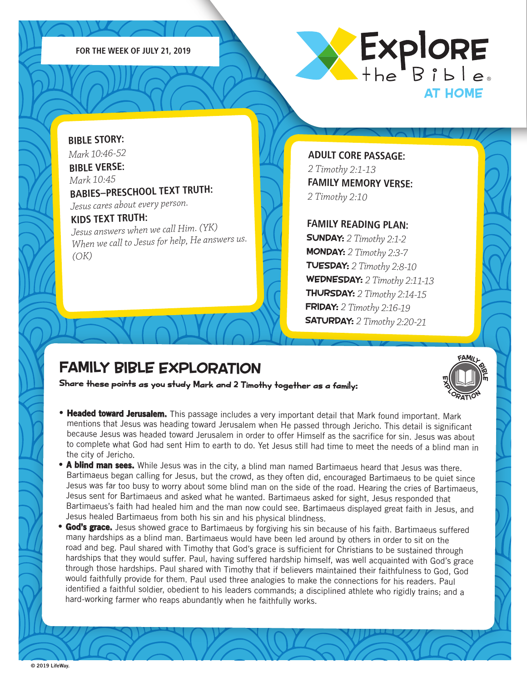



### **BIBLE STORY:** *Mark 10:46-52*

**BIBLE VERSE:** *Mark 10:45* **BABIES–PRESCHOOL TEXT TRUTH:**  *Jesus cares about every person.*

#### **KIDS TEXT TRUTH:**

*Jesus answers when we call Him. (YK) When we call to Jesus for help, He answers us. (OK)*

**ADULT CORE PASSAGE:** *2 Timothy 2:1-13*  **FAMILY MEMORY VERSE:** *2 Timothy 2:10*

#### **FAMILY READING PLAN:**

SUNDAY: *2 Timothy 2:1-2* MONDAY: *2 Timothy 2:3-7* TUESDAY: *2 Timothy 2:8-10* WEDNESDAY: *2 Timothy 2:11-13* THURSDAY: *2 Timothy 2:14-15* FRIDAY: *2 Timothy 2:16-19* SATURDAY: *2 Timothy 2:20-21*

FAMILL<br>I II P

iη

m

# FAMILY BIBLE EXPLORATION

Share these points as you study Mark and 2 Timothy together as a family:

- **Headed toward Jerusalem.** This passage includes a very important detail that Mark found important. Mark mentions that Jesus was heading toward Jerusalem when He passed through Jericho. This detail is significant because Jesus was headed toward Jerusalem in order to offer Himself as the sacrifice for sin. Jesus was about to complete what God had sent Him to earth to do. Yet Jesus still had time to meet the needs of a blind man in the city of Jericho. X<sub>ORATION</sub>
- A blind man sees. While Jesus was in the city, a blind man named Bartimaeus heard that Jesus was there. Bartimaeus began calling for Jesus, but the crowd, as they often did, encouraged Bartimaeus to be quiet since Jesus was far too busy to worry about some blind man on the side of the road. Hearing the cries of Bartimaeus, Jesus sent for Bartimaeus and asked what he wanted. Bartimaeus asked for sight, Jesus responded that Bartimaeus's faith had healed him and the man now could see. Bartimaeus displayed great faith in Jesus, and Jesus healed Bartimaeus from both his sin and his physical blindness.
- **God's grace.** Jesus showed grace to Bartimaeus by forgiving his sin because of his faith. Bartimaeus suffered many hardships as a blind man. Bartimaeus would have been led around by others in order to sit on the road and beg. Paul shared with Timothy that God's grace is sufficient for Christians to be sustained through hardships that they would suffer. Paul, having suffered hardship himself, was well acquainted with God's grace through those hardships. Paul shared with Timothy that if believers maintained their faithfulness to God, God would faithfully provide for them. Paul used three analogies to make the connections for his readers. Paul identified a faithful soldier, obedient to his leaders commands; a disciplined athlete who rigidly trains; and a hard-working farmer who reaps abundantly when he faithfully works.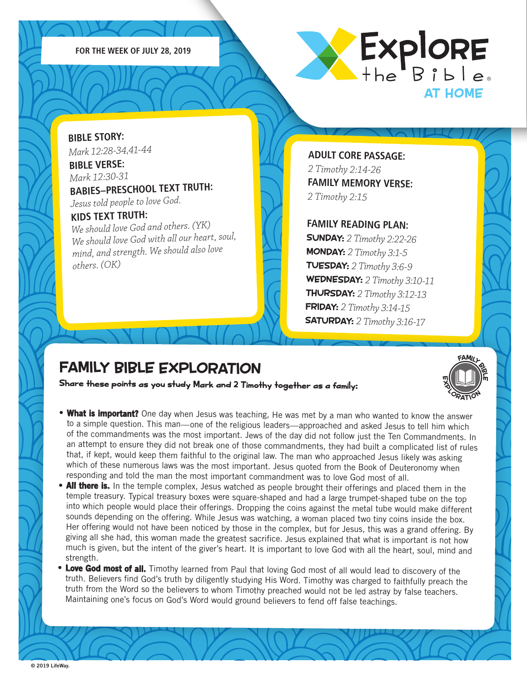



**BIBLE STORY:** *Mark 12:28-34,41-44* **BIBLE VERSE:**

*Mark 12:30-31* **BABIES–PRESCHOOL TEXT TRUTH:** 

*Jesus told people to love God.*

#### **KIDS TEXT TRUTH:**

*We should love God and others. (YK) We should love God with all our heart, soul, mind, and strength. We should also love others. (OK)*

**ADULT CORE PASSAGE:** *2 Timothy 2:14-26*  **FAMILY MEMORY VERSE:** *2 Timothy 2:15*

#### **FAMILY READING PLAN:**

SUNDAY: *2 Timothy 2:22-26* MONDAY: *2 Timothy 3:1-5* TUESDAY: *2 Timothy 3:6-9* WEDNESDAY: *2 Timothy 3:10-11* THURSDAY: *2 Timothy 3:12-13* FRIDAY: *2 Timothy 3:14-15* SATURDAY: *2 Timothy 3:16-17*

FAMILL<br>I II P

X<sub>ORATION</sub>

iη

m

### FAMILY BIBLE EXPLORATION

Share these points as you study Mark and 2 Timothy together as a family:

- What is important? One day when Jesus was teaching, He was met by a man who wanted to know the answer to a simple question. This man—one of the religious leaders—approached and asked Jesus to tell him which of the commandments was the most important. Jews of the day did not follow just the Ten Commandments. In an attempt to ensure they did not break one of those commandments, they had built a complicated list of rules that, if kept, would keep them faithful to the original law. The man who approached Jesus likely was asking which of these numerous laws was the most important. Jesus quoted from the Book of Deuteronomy when responding and told the man the most important commandment was to love God most of all.
- All there is. In the temple complex, Jesus watched as people brought their offerings and placed them in the temple treasury. Typical treasury boxes were square-shaped and had a large trumpet-shaped tube on the top into which people would place their offerings. Dropping the coins against the metal tube would make different sounds depending on the offering. While Jesus was watching, a woman placed two tiny coins inside the box. Her offering would not have been noticed by those in the complex, but for Jesus, this was a grand offering. By giving all she had, this woman made the greatest sacrifice. Jesus explained that what is important is not how much is given, but the intent of the giver's heart. It is important to love God with all the heart, soul, mind and strength.
- Love God most of all. Timothy learned from Paul that loving God most of all would lead to discovery of the truth. Believers find God's truth by diligently studying His Word. Timothy was charged to faithfully preach the truth from the Word so the believers to whom Timothy preached would not be led astray by false teachers. Maintaining one's focus on God's Word would ground believers to fend off false teachings.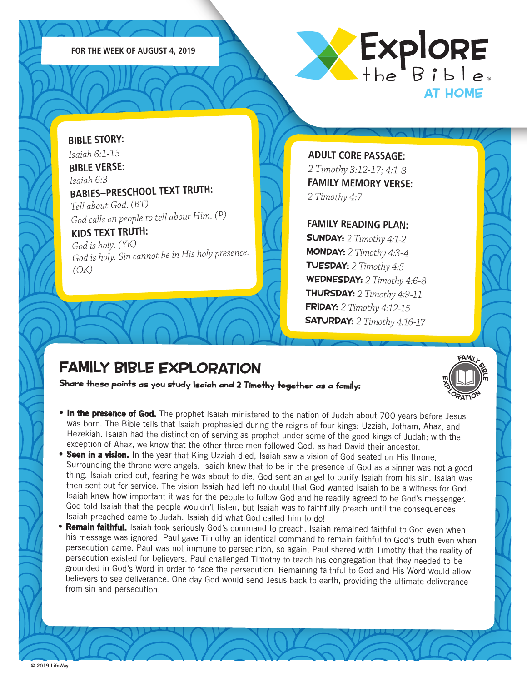



**BIBLE STORY:** *Isaiah 6:1-13* **BIBLE VERSE:** *Isaiah 6:3* **BABIES–PRESCHOOL TEXT TRUTH:**  *Tell about God. (BT) God calls on people to tell about Him. (P)* **KIDS TEXT TRUTH:**  *God is holy. (YK)*

*God is holy. Sin cannot be in His holy presence. (OK)*

**ADULT CORE PASSAGE:** *2 Timothy 3:12-17; 4:1-8*  **FAMILY MEMORY VERSE:** *2 Timothy 4:7*

#### **FAMILY READING PLAN:**

SUNDAY: *2 Timothy 4:1-2* MONDAY: *2 Timothy 4:3-4* TUESDAY: *2 Timothy 4:5* WEDNESDAY: *2 Timothy 4:6-8* THURSDAY: *2 Timothy 4:9-11* FRIDAY: *2 Timothy 4:12-15* SATURDAY: *2 Timothy 4:16-17*

FAMILL<br>I II P

X<sub>ORATION</sub>

iη

m

# FAMILY BIBLE EXPLORATION

Share these points as you study Isaiah and 2 Timothy together as a family:

- In the presence of God. The prophet Isaiah ministered to the nation of Judah about 700 years before Jesus was born. The Bible tells that Isaiah prophesied during the reigns of four kings: Uzziah, Jotham, Ahaz, and Hezekiah. Isaiah had the distinction of serving as prophet under some of the good kings of Judah; with the exception of Ahaz, we know that the other three men followed God, as had David their ancestor.
- Seen in a vision. In the year that King Uzziah died, Isaiah saw a vision of God seated on His throne. Surrounding the throne were angels. Isaiah knew that to be in the presence of God as a sinner was not a good thing. Isaiah cried out, fearing he was about to die. God sent an angel to purify Isaiah from his sin. Isaiah was then sent out for service. The vision Isaiah had left no doubt that God wanted Isaiah to be a witness for God. Isaiah knew how important it was for the people to follow God and he readily agreed to be God's messenger. God told Isaiah that the people wouldn't listen, but Isaiah was to faithfully preach until the consequences Isaiah preached came to Judah. Isaiah did what God called him to do!
- •Remain faithful. Isaiah took seriously God's command to preach. Isaiah remained faithful to God even when his message was ignored. Paul gave Timothy an identical command to remain faithful to God's truth even when persecution came. Paul was not immune to persecution, so again, Paul shared with Timothy that the reality of persecution existed for believers. Paul challenged Timothy to teach his congregation that they needed to be grounded in God's Word in order to face the persecution. Remaining faithful to God and His Word would allow believers to see deliverance. One day God would send Jesus back to earth, providing the ultimate deliverance from sin and persecution.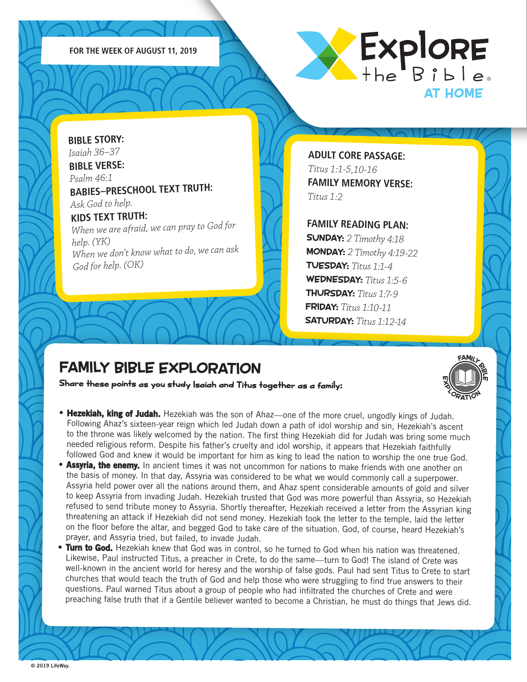



**BIBLE STORY:** *Isaiah 36–37* **BIBLE VERSE:** *Psalm 46:1* **BABIES–PRESCHOOL TEXT TRUTH:** 

*Ask God to help.*

**KIDS TEXT TRUTH:**  *When we are afraid, we can pray to God for help. (YK) When we don't know what to do, we can as<sup>k</sup> God for help. (OK)*

**ADULT CORE PASSAGE:** *Titus 1:1-5,10-16*  **FAMILY MEMORY VERSE:** *Titus 1:2*

**FAMILY READING PLAN:**

SUNDAY: *2 Timothy 4:18* MONDAY: *2 Timothy 4:19-22* TUESDAY: *Titus 1:1-4* WEDNESDAY: *Titus 1:5-6* THURSDAY: *Titus 1:7-9* FRIDAY: *Titus 1:10-11* SATURDAY: *Titus 1:12-14*

FAMILL<br>I II P

X<sub>ORATION</sub>

iη

m

# FAMILY BIBLE EXPLORATION

Share these points as you study Isaiah and Titus together as a family:

- Hezekiah, king of Judah. Hezekiah was the son of Ahaz—one of the more cruel, ungodly kings of Judah. Following Ahaz's sixteen-year reign which led Judah down a path of idol worship and sin, Hezekiah's ascent to the throne was likely welcomed by the nation. The first thing Hezekiah did for Judah was bring some much needed religious reform. Despite his father's cruelty and idol worship, it appears that Hezekiah faithfully followed God and knew it would be important for him as king to lead the nation to worship the one true God.
- Assyria, the enemy. In ancient times it was not uncommon for nations to make friends with one another on the basis of money. In that day, Assyria was considered to be what we would commonly call a superpower. Assyria held power over all the nations around them, and Ahaz spent considerable amounts of gold and silver to keep Assyria from invading Judah. Hezekiah trusted that God was more powerful than Assyria, so Hezekiah refused to send tribute money to Assyria. Shortly thereafter, Hezekiah received a letter from the Assyrian king threatening an attack if Hezekiah did not send money. Hezekiah took the letter to the temple, laid the letter on the floor before the altar, and begged God to take care of the situation. God, of course, heard Hezekiah's prayer, and Assyria tried, but failed, to invade Judah.
- •Turn to God. Hezekiah knew that God was in control, so he turned to God when his nation was threatened. Likewise, Paul instructed Titus, a preacher in Crete, to do the same—turn to God! The island of Crete was well-known in the ancient world for heresy and the worship of false gods. Paul had sent Titus to Crete to start churches that would teach the truth of God and help those who were struggling to find true answers to their questions. Paul warned Titus about a group of people who had infiltrated the churches of Crete and were preaching false truth that if a Gentile believer wanted to become a Christian, he must do things that Jews did.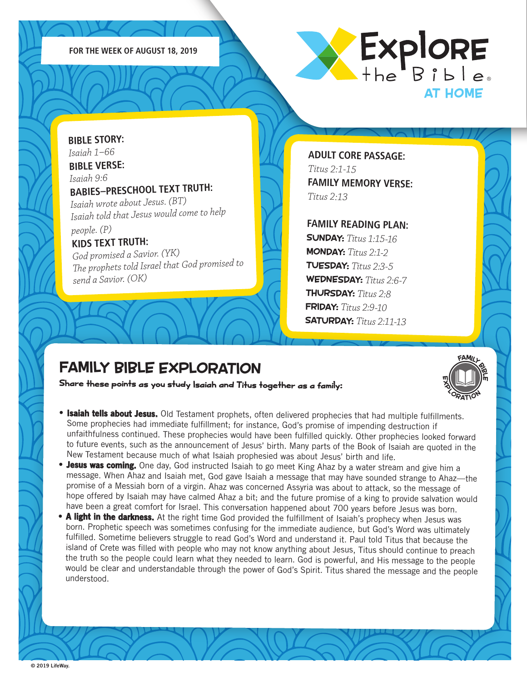



**BIBLE STORY:** *Isaiah 1–66* **BIBLE VERSE:** *Isaiah 9:6* **BABIES–PRESCHOOL TEXT TRUTH:**  *Isaiah wrote about Jesus. (BT) Isaiah told that Jesus would come to help people. (P)* **KIDS TEXT TRUTH:**  *God promised a Savior. (YK)*

*The prophets told Israel that God promised to send a Savior. (OK)*

**ADULT CORE PASSAGE:** *Titus 2:1-15* **FAMILY MEMORY VERSE:** *Titus 2:13*

**FAMILY READING PLAN:** SUNDAY: *Titus 1:15-16* MONDAY: *Titus 2:1-2* TUESDAY: *Titus 2:3-5* WEDNESDAY: *Titus 2:6-7* THURSDAY: *Titus 2:8* FRIDAY: *Titus 2:9-10* SATURDAY: *Titus 2:11-13*

FAMILL<br>I II P

X<sub>ORATION</sub>

iη

m

# FAMILY BIBLE EXPLORATION

Share these points as you study Isaiah and Titus together as a family:

- **Isaiah tells about Jesus.** Old Testament prophets, often delivered prophecies that had multiple fulfillments. Some prophecies had immediate fulfillment; for instance, God's promise of impending destruction if unfaithfulness continued. These prophecies would have been fulfilled quickly. Other prophecies looked forward to future events, such as the announcement of Jesus' birth. Many parts of the Book of Isaiah are quoted in the New Testament because much of what Isaiah prophesied was about Jesus' birth and life.
- Jesus was coming. One day, God instructed Isaiah to go meet King Ahaz by a water stream and give him a message. When Ahaz and Isaiah met, God gave Isaiah a message that may have sounded strange to Ahaz—the promise of a Messiah born of a virgin. Ahaz was concerned Assyria was about to attack, so the message of hope offered by Isaiah may have calmed Ahaz a bit; and the future promise of a king to provide salvation would have been a great comfort for Israel. This conversation happened about 700 years before Jesus was born.
- A light in the darkness. At the right time God provided the fulfillment of Isaiah's prophecy when Jesus was born. Prophetic speech was sometimes confusing for the immediate audience, but God's Word was ultimately fulfilled. Sometime believers struggle to read God's Word and understand it. Paul told Titus that because the island of Crete was filled with people who may not know anything about Jesus, Titus should continue to preach the truth so the people could learn what they needed to learn. God is powerful, and His message to the people would be clear and understandable through the power of God's Spirit. Titus shared the message and the people understood.